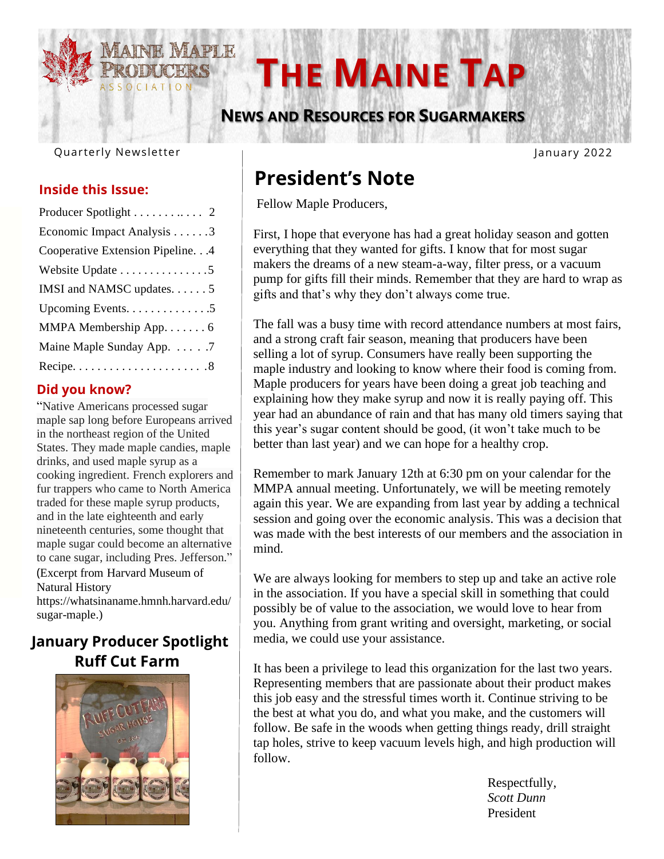

# **<b>THE MAINE TAP**

 **NEWS AND RESOURCES FOR SUGARMAKERS**

Quarterly Newsletter 

### **Inside this Issue:**

| Producer Spotlight 2              |
|-----------------------------------|
| Economic Impact Analysis 3        |
| Cooperative Extension Pipeline. 4 |
| Website Update 5                  |
| IMSI and NAMSC updates. 5         |
| Upcoming Events5                  |
| MMPA Membership App. 6            |
| Maine Maple Sunday App. 7         |
|                                   |

#### **Did you know?**

"Native Americans processed sugar maple sap long before Europeans arrived in the northeast region of the United States. They made maple candies, maple drinks, and used maple syrup as a cooking ingredient. French explorers and fur trappers who came to North America traded for these maple syrup products, and in the late eighteenth and early nineteenth centuries, some thought that maple sugar could become an alternative to cane sugar, including Pres. Jefferson." (Excerpt from Harvard Museum of Natural History

https://whatsinaname.hmnh.harvard.edu/ sugar-maple.)

### **January Producer Spotlight Ruff Cut Farm**



January 2022

# **President's Note**

Fellow Maple Producers,

First, I hope that everyone has had a great holiday season and gotten everything that they wanted for gifts. I know that for most sugar makers the dreams of a new steam-a-way, filter press, or a vacuum pump for gifts fill their minds. Remember that they are hard to wrap as gifts and that's why they don't always come true.

The fall was a busy time with record attendance numbers at most fairs, and a strong craft fair season, meaning that producers have been selling a lot of syrup. Consumers have really been supporting the maple industry and looking to know where their food is coming from. Maple producers for years have been doing a great job teaching and explaining how they make syrup and now it is really paying off. This year had an abundance of rain and that has many old timers saying that this year's sugar content should be good, (it won't take much to be better than last year) and we can hope for a healthy crop.

Remember to mark January 12th at 6:30 pm on your calendar for the MMPA annual meeting. Unfortunately, we will be meeting remotely again this year. We are expanding from last year by adding a technical session and going over the economic analysis. This was a decision that was made with the best interests of our members and the association in mind.

We are always looking for members to step up and take an active role in the association. If you have a special skill in something that could possibly be of value to the association, we would love to hear from you. Anything from grant writing and oversight, marketing, or social media, we could use your assistance.

It has been a privilege to lead this organization for the last two years. Representing members that are passionate about their product makes this job easy and the stressful times worth it. Continue striving to be the best at what you do, and what you make, and the customers will follow. Be safe in the woods when getting things ready, drill straight tap holes, strive to keep vacuum levels high, and high production will follow.

> Respectfully, *Scott Dunn* President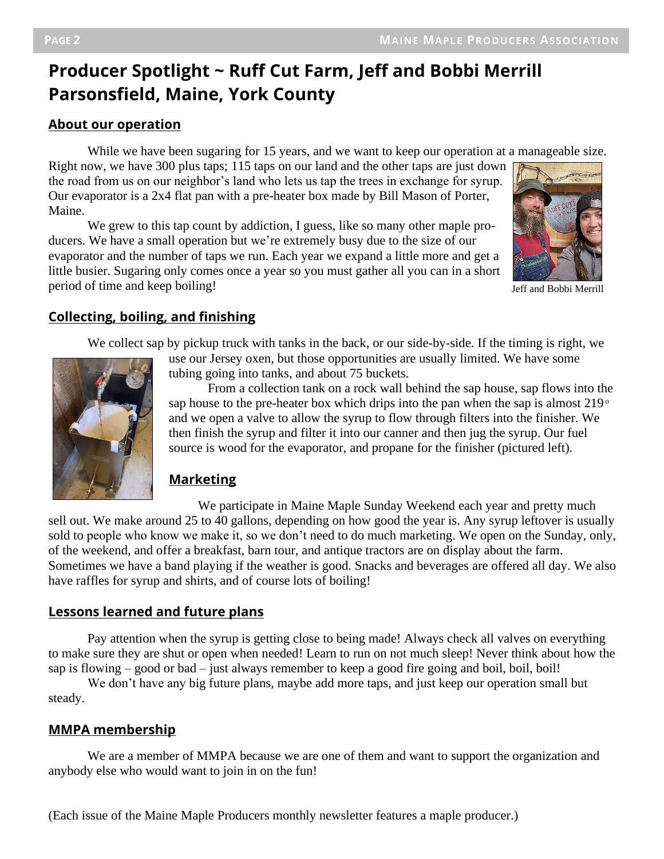## **Producer Spotlight ~ Ruff Cut Farm, Jeff and Bobbi Merrill Parsonsfield, Maine, York County**

#### **About our operation**

While we have been sugaring for 15 years, and we want to keep our operation at a manageable size.

Right now, we have 300 plus taps; 115 taps on our land and the other taps are just down the road from us on our neighbor's land who lets us tap the trees in exchange for syrup. Our evaporator is a 2x4 flat pan with a pre-heater box made by Bill Mason of Porter, Maine.

We grew to this tap count by addiction, I guess, like so many other maple producers. We have a small operation but we're extremely busy due to the size of our evaporator and the number of taps we run. Each year we expand a little more and get a little busier. Sugaring only comes once a year so you must gather all you can in a short period of time and keep boiling!



Jeff and Bobbi Merrill

### **Collecting, boiling, and finishing**

We collect sap by pickup truck with tanks in the back, or our side-by-side. If the timing is right, we



 use our Jersey oxen, but those opportunities are usually limited. We have some tubing going into tanks, and about 75 buckets.

 From a collection tank on a rock wall behind the sap house, sap flows into the sap house to the pre-heater box which drips into the pan when the sap is almost  $219^\circ$  and we open a valve to allow the syrup to flow through filters into the finisher. We then finish the syrup and filter it into our canner and then jug the syrup. Our fuel source is wood for the evaporator, and propane for the finisher (pictured left).

### **Marketing**

 We participate in Maine Maple Sunday Weekend each year and pretty much sell out. We make around 25 to 40 gallons, depending on how good the year is. Any syrup leftover is usually sold to people who know we make it, so we don't need to do much marketing. We open on the Sunday, only, of the weekend, and offer a breakfast, barn tour, and antique tractors are on display about the farm. Sometimes we have a band playing if the weather is good. Snacks and beverages are offered all day. We also have raffles for syrup and shirts, and of course lots of boiling!

### **Lessons learned and future plans**

Pay attention when the syrup is getting close to being made! Always check all valves on everything to make sure they are shut or open when needed! Learn to run on not much sleep! Never think about how the sap is flowing – good or bad – just always remember to keep a good fire going and boil, boil, boil!

We don't have any big future plans, maybe add more taps, and just keep our operation small but steady.

### **MMPA membership**

We are a member of MMPA because we are one of them and want to support the organization and anybody else who would want to join in on the fun!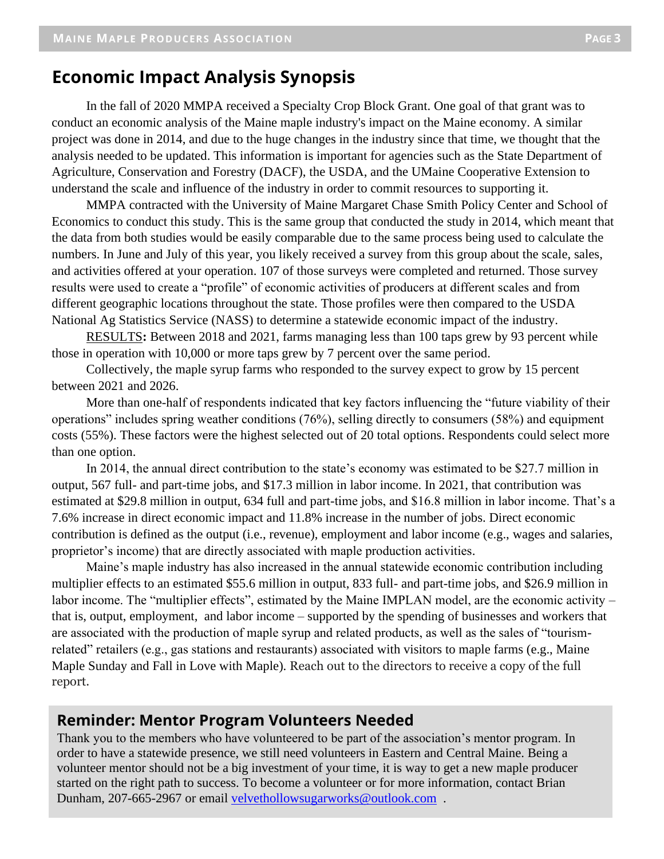### **Economic Impact Analysis Synopsis**

In the fall of 2020 MMPA received a Specialty Crop Block Grant. One goal of that grant was to conduct an economic analysis of the Maine maple industry's impact on the Maine economy. A similar project was done in 2014, and due to the huge changes in the industry since that time, we thought that the analysis needed to be updated. This information is important for agencies such as the State Department of Agriculture, Conservation and Forestry (DACF), the USDA, and the UMaine Cooperative Extension to understand the scale and influence of the industry in order to commit resources to supporting it.

MMPA contracted with the University of Maine Margaret Chase Smith Policy Center and School of Economics to conduct this study. This is the same group that conducted the study in 2014, which meant that the data from both studies would be easily comparable due to the same process being used to calculate the numbers. In June and July of this year, you likely received a survey from this group about the scale, sales, and activities offered at your operation. 107 of those surveys were completed and returned. Those survey results were used to create a "profile" of economic activities of producers at different scales and from different geographic locations throughout the state. Those profiles were then compared to the USDA National Ag Statistics Service (NASS) to determine a statewide economic impact of the industry.

RESULTS**:** Between 2018 and 2021, farms managing less than 100 taps grew by 93 percent while those in operation with 10,000 or more taps grew by 7 percent over the same period.

Collectively, the maple syrup farms who responded to the survey expect to grow by 15 percent between 2021 and 2026.

More than one-half of respondents indicated that key factors influencing the "future viability of their operations" includes spring weather conditions (76%), selling directly to consumers (58%) and equipment costs (55%). These factors were the highest selected out of 20 total options. Respondents could select more than one option.

In 2014, the annual direct contribution to the state's economy was estimated to be \$27.7 million in output, 567 full- and part-time jobs, and \$17.3 million in labor income. In 2021, that contribution was estimated at \$29.8 million in output, 634 full and part-time jobs, and \$16.8 million in labor income. That's a 7.6% increase in direct economic impact and 11.8% increase in the number of jobs. Direct economic contribution is defined as the output (i.e., revenue), employment and labor income (e.g., wages and salaries, proprietor's income) that are directly associated with maple production activities.

Maine's maple industry has also increased in the annual statewide economic contribution including multiplier effects to an estimated \$55.6 million in output, 833 full- and part-time jobs, and \$26.9 million in labor income. The "multiplier effects", estimated by the Maine IMPLAN model, are the economic activity – that is, output, employment, and labor income – supported by the spending of businesses and workers that are associated with the production of maple syrup and related products, as well as the sales of "tourismrelated" retailers (e.g., gas stations and restaurants) associated with visitors to maple farms (e.g., Maine Maple Sunday and Fall in Love with Maple). Reach out to the directors to receive a copy of the full report.

#### **Reminder: Mentor Program Volunteers Needed**

Thank you to the members who have volunteered to be part of the association's mentor program. In order to have a statewide presence, we still need volunteers in Eastern and Central Maine. Being a volunteer mentor should not be a big investment of your time, it is way to get a new maple producer started on the right path to success. To become a volunteer or for more information, contact Brian Dunham, 207-665-2967 or email [velvethollowsugarworks@outlook.com](mailto:velvethollowsugarworks@outlook.com) .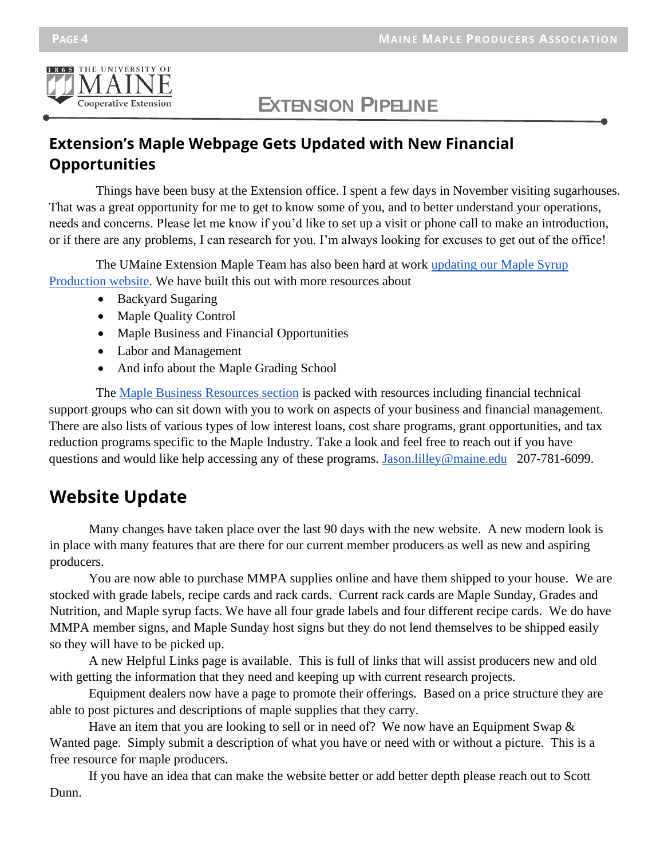

# **EXTENSION PIPELINE**

### **Extension's Maple Webpage Gets Updated with New Financial Opportunities**

Things have been busy at the Extension office. I spent a few days in November visiting sugarhouses. That was a great opportunity for me to get to know some of you, and to better understand your operations, needs and concerns. Please let me know if you'd like to set up a visit or phone call to make an introduction, or if there are any problems, I can research for you. I'm always looking for excuses to get out of the office!

The UMaine Extension Maple Team has also been hard at work updating our Maple Syrup [Production website.](https://extension.umaine.edu/maple-syrup-production/) We have built this out with more resources about

- Backyard Sugaring
- Maple Quality Control
- Maple Business and Financial Opportunities
- Labor and Management
- And info about the Maple Grading School

The [Maple Business Resources section](https://extension.umaine.edu/maple-syrup-production/business-resources/) is packed with resources including financial technical support groups who can sit down with you to work on aspects of your business and financial management. There are also lists of various types of low interest loans, cost share programs, grant opportunities, and tax reduction programs specific to the Maple Industry. Take a look and feel free to reach out if you have questions and would like help accessing any of these programs. Jason. lilley@maine.edu 207-781-6099.

### **Website Update**

Many changes have taken place over the last 90 days with the new website. A new modern look is in place with many features that are there for our current member producers as well as new and aspiring producers.

You are now able to purchase MMPA supplies online and have them shipped to your house. We are stocked with grade labels, recipe cards and rack cards. Current rack cards are Maple Sunday, Grades and Nutrition, and Maple syrup facts. We have all four grade labels and four different recipe cards. We do have MMPA member signs, and Maple Sunday host signs but they do not lend themselves to be shipped easily so they will have to be picked up.

A new Helpful Links page is available. This is full of links that will assist producers new and old with getting the information that they need and keeping up with current research projects.

Equipment dealers now have a page to promote their offerings. Based on a price structure they are able to post pictures and descriptions of maple supplies that they carry.

Have an item that you are looking to sell or in need of? We now have an Equipment Swap & Wanted page. Simply submit a description of what you have or need with or without a picture. This is a free resource for maple producers.

If you have an idea that can make the website better or add better depth please reach out to Scott Dunn.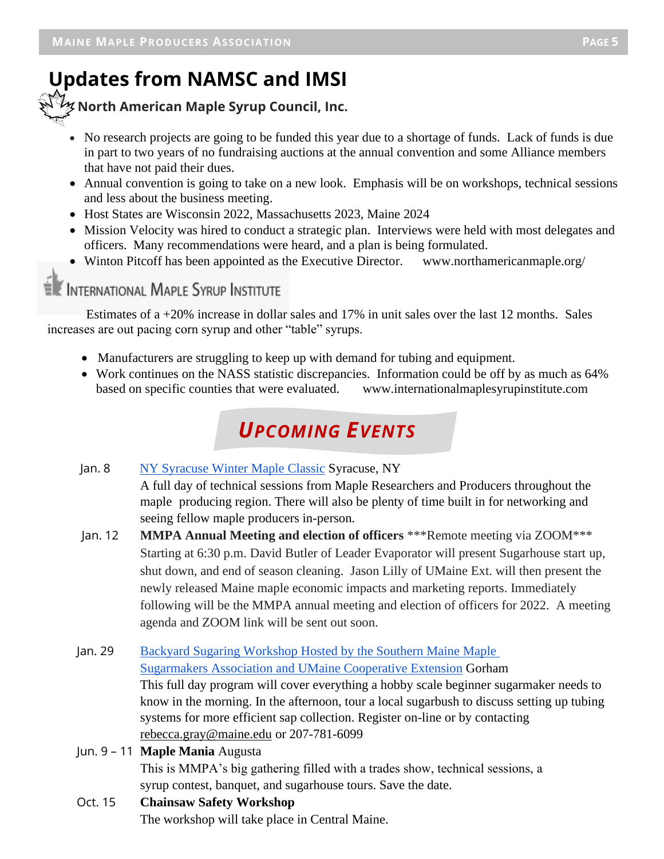# **Updates from NAMSC and IMSI**

 **North American Maple Syrup Council, Inc.**

- No research projects are going to be funded this year due to a shortage of funds. Lack of funds is due in part to two years of no fundraising auctions at the annual convention and some Alliance members that have not paid their dues.
- Annual convention is going to take on a new look. Emphasis will be on workshops, technical sessions and less about the business meeting.
- Host States are Wisconsin 2022, Massachusetts 2023, Maine 2024
- Mission Velocity was hired to conduct a strategic plan. Interviews were held with most delegates and officers. Many recommendations were heard, and a plan is being formulated.
- Winton Pitcoff has been appointed as the Executive Director. www.northamericanmaple.org/

### INTERNATIONAL MAPLE SYRUP INSTITUTE

Estimates of a +20% increase in dollar sales and 17% in unit sales over the last 12 months. Sales increases are out pacing corn syrup and other "table" syrups.

- Manufacturers are struggling to keep up with demand for tubing and equipment.
- Work continues on the NASS statistic discrepancies. Information could be off by as much as 64% based on specific counties that were evaluated. www.internationalmaplesyrupinstitute.com

# *UPCOMING EVENTS*

#### Jan. 8 [NY Syracuse Winter Maple Classic](https://sugarmakers.nysmaple.com/) Syracuse, NY

A full day of technical sessions from Maple Researchers and Producers throughout the maple producing region. There will also be plenty of time built in for networking and seeing fellow maple producers in-person.

- Jan. 12 **MMPA Annual Meeting and election of officers** \*\*\*Remote meeting via ZOOM\*\*\* Starting at 6:30 p.m. David Butler of Leader Evaporator will present Sugarhouse start up, shut down, and end of season cleaning. Jason Lilly of UMaine Ext. will then present the newly released Maine maple economic impacts and marketing reports. Immediately following will be the MMPA annual meeting and election of officers for 2022. A meeting agenda and ZOOM link will be sent out soon.
- Jan. 29 [Backyard Sugaring Workshop Hosted by the Southern Maine Maple](https://extension.umaine.edu/register/product/backyard-sugaring-gorham-2022/)  Sugarmakers [Association and UMaine Cooperative Extension](https://extension.umaine.edu/register/product/backyard-sugaring-gorham-2022/) Gorham This full day program will cover everything a hobby scale beginner sugarmaker needs to know in the morning. In the afternoon, tour a local sugarbush to discuss setting up tubing systems for more efficient sap collection. Register on-line or by contacting rebecca.gray@maine.edu or 207-781-6099
- Jun. 9 11 **Maple Mania** Augusta

This is MMPA's big gathering filled with a trades show, technical sessions, a syrup contest, banquet, and sugarhouse tours. Save the date.

Oct. 15 **Chainsaw Safety Workshop** The workshop will take place in Central Maine.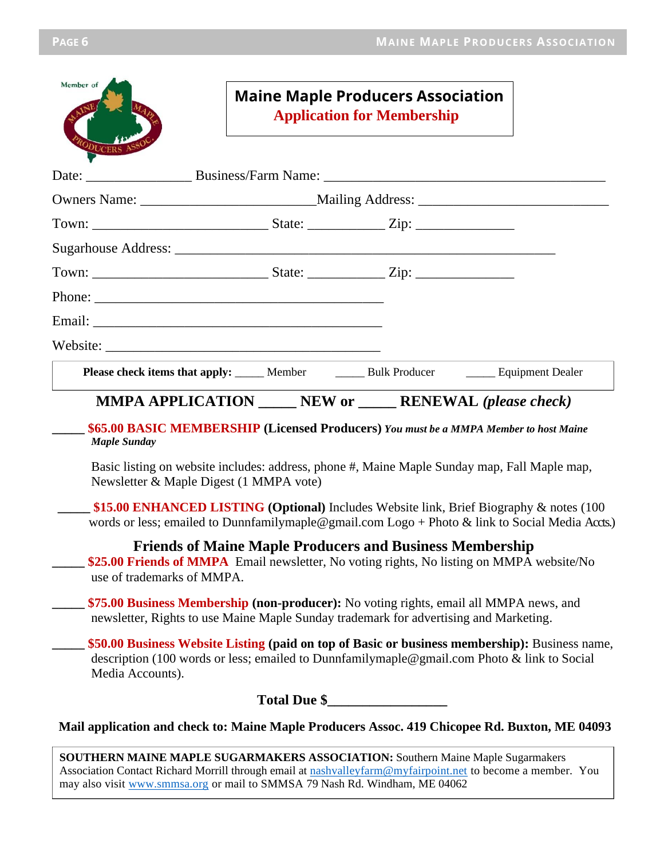| Member of<br>りしCERS        |                                         | <b>Maine Maple Producers Association</b><br><b>Application for Membership</b>                                                                                                                 |  |
|----------------------------|-----------------------------------------|-----------------------------------------------------------------------------------------------------------------------------------------------------------------------------------------------|--|
|                            |                                         |                                                                                                                                                                                               |  |
|                            |                                         |                                                                                                                                                                                               |  |
|                            |                                         |                                                                                                                                                                                               |  |
|                            |                                         |                                                                                                                                                                                               |  |
|                            |                                         |                                                                                                                                                                                               |  |
|                            |                                         |                                                                                                                                                                                               |  |
|                            |                                         |                                                                                                                                                                                               |  |
|                            |                                         |                                                                                                                                                                                               |  |
|                            |                                         | Please check items that apply: _____ Member _______ Bulk Producer _______ Equipment Dealer                                                                                                    |  |
|                            |                                         | <b>MMPA APPLICATION</b> ______ NEW or ______ RENEWAL (please check)                                                                                                                           |  |
| <b>Maple Sunday</b>        |                                         | \$65.00 BASIC MEMBERSHIP (Licensed Producers) You must be a MMPA Member to host Maine                                                                                                         |  |
|                            | Newsletter & Maple Digest (1 MMPA vote) | Basic listing on website includes: address, phone #, Maine Maple Sunday map, Fall Maple map,                                                                                                  |  |
|                            |                                         | \$15.00 ENHANCED LISTING (Optional) Includes Website link, Brief Biography & notes (100<br>words or less; emailed to Dunnfamilymaple@gmail.com Logo + Photo & link to Social Media Accts.)    |  |
| use of trademarks of MMPA. |                                         | <b>Friends of Maine Maple Producers and Business Membership</b><br>\$25.00 Friends of MMPA Email newsletter, No voting rights, No listing on MMPA website/No                                  |  |
|                            |                                         | \$75.00 Business Membership (non-producer): No voting rights, email all MMPA news, and<br>newsletter, Rights to use Maine Maple Sunday trademark for advertising and Marketing.               |  |
| Media Accounts).           |                                         | \$50.00 Business Website Listing (paid on top of Basic or business membership): Business name,<br>description (100 words or less; emailed to Dunnfamilymaple@gmail.com Photo & link to Social |  |
|                            |                                         | Total Due \$                                                                                                                                                                                  |  |
|                            |                                         | Mail application and check to: Maine Maple Producers Assoc. 419 Chicopee Rd. Buxton, ME 04093                                                                                                 |  |
|                            |                                         | <b>SOUTHERN MAINE MAPLE SUGARMAKERS ASSOCIATION: Southern Maine Maple Sugarmakers</b>                                                                                                         |  |

**PAGE 3 PAGE 3 PAGE 3 PAGE 3 PAGE 3 PAGE 3 PAGE 3 PAGE 3 PAGE 3 PAGE 3** 

**GARMAKERS ASSOCIATION:** Southern Maine Maple Sugarmakers Association Contact Richard Morrill through email at nashvalleyfarm@myfairpoint.net to become a member. You may also visit www.smmsa.org or mail to SMMSA 79 Nash Rd. Windham, ME 04062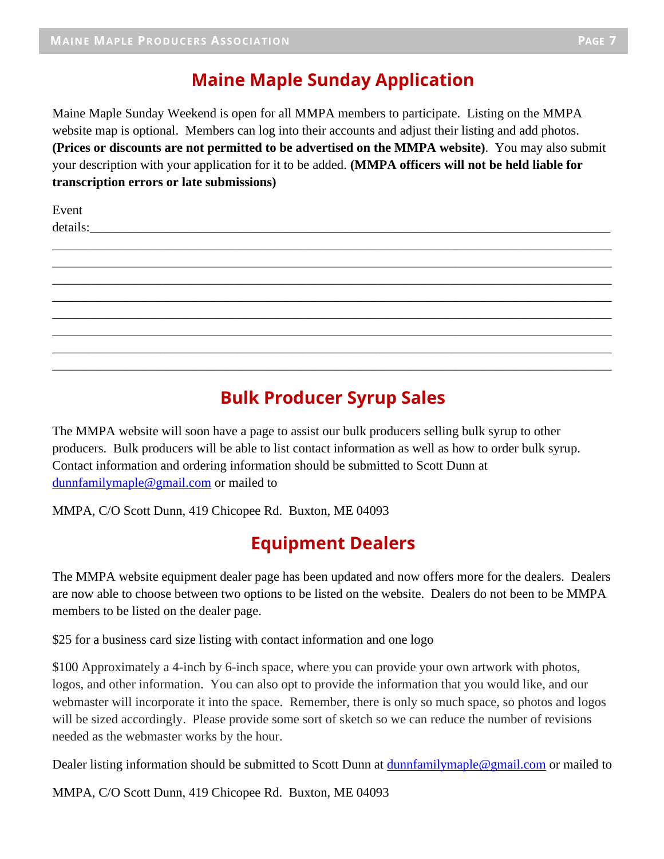### **Maine Maple Sunday Application**

Maine Maple Sunday Weekend is open for all MMPA members to participate. Listing on the MMPA website map is optional. Members can log into their accounts and adjust their listing and add photos. **(Prices or discounts are not permitted to be advertised on the MMPA website)**. You may also submit your description with your application for it to be added. **(MMPA officers will not be held liable for transcription errors or late submissions)**

\_\_\_\_\_\_\_\_\_\_\_\_\_\_\_\_\_\_\_\_\_\_\_\_\_\_\_\_\_\_\_\_\_\_\_\_\_\_\_\_\_\_\_\_\_\_\_\_\_\_\_\_\_\_\_\_\_\_\_\_\_\_\_\_\_\_\_\_\_\_\_\_\_\_\_\_\_\_\_\_\_\_\_\_\_\_ \_\_\_\_\_\_\_\_\_\_\_\_\_\_\_\_\_\_\_\_\_\_\_\_\_\_\_\_\_\_\_\_\_\_\_\_\_\_\_\_\_\_\_\_\_\_\_\_\_\_\_\_\_\_\_\_\_\_\_\_\_\_\_\_\_\_\_\_\_\_\_\_\_\_\_\_\_\_\_\_\_\_\_\_\_\_ \_\_\_\_\_\_\_\_\_\_\_\_\_\_\_\_\_\_\_\_\_\_\_\_\_\_\_\_\_\_\_\_\_\_\_\_\_\_\_\_\_\_\_\_\_\_\_\_\_\_\_\_\_\_\_\_\_\_\_\_\_\_\_\_\_\_\_\_\_\_\_\_\_\_\_\_\_\_\_\_\_\_\_\_\_\_ \_\_\_\_\_\_\_\_\_\_\_\_\_\_\_\_\_\_\_\_\_\_\_\_\_\_\_\_\_\_\_\_\_\_\_\_\_\_\_\_\_\_\_\_\_\_\_\_\_\_\_\_\_\_\_\_\_\_\_\_\_\_\_\_\_\_\_\_\_\_\_\_\_\_\_\_\_\_\_\_\_\_\_\_\_\_ \_\_\_\_\_\_\_\_\_\_\_\_\_\_\_\_\_\_\_\_\_\_\_\_\_\_\_\_\_\_\_\_\_\_\_\_\_\_\_\_\_\_\_\_\_\_\_\_\_\_\_\_\_\_\_\_\_\_\_\_\_\_\_\_\_\_\_\_\_\_\_\_\_\_\_\_\_\_\_\_\_\_\_\_\_\_ \_\_\_\_\_\_\_\_\_\_\_\_\_\_\_\_\_\_\_\_\_\_\_\_\_\_\_\_\_\_\_\_\_\_\_\_\_\_\_\_\_\_\_\_\_\_\_\_\_\_\_\_\_\_\_\_\_\_\_\_\_\_\_\_\_\_\_\_\_\_\_\_\_\_\_\_\_\_\_\_\_\_\_\_\_\_ \_\_\_\_\_\_\_\_\_\_\_\_\_\_\_\_\_\_\_\_\_\_\_\_\_\_\_\_\_\_\_\_\_\_\_\_\_\_\_\_\_\_\_\_\_\_\_\_\_\_\_\_\_\_\_\_\_\_\_\_\_\_\_\_\_\_\_\_\_\_\_\_\_\_\_\_\_\_\_\_\_\_\_\_\_\_ \_\_\_\_\_\_\_\_\_\_\_\_\_\_\_\_\_\_\_\_\_\_\_\_\_\_\_\_\_\_\_\_\_\_\_\_\_\_\_\_\_\_\_\_\_\_\_\_\_\_\_\_\_\_\_\_\_\_\_\_\_\_\_\_\_\_\_\_\_\_\_\_\_\_\_\_\_\_\_\_\_\_\_\_\_\_

Event details:\_\_\_\_\_\_\_\_\_\_\_\_\_\_\_\_\_\_\_\_\_\_\_\_\_\_\_\_\_\_\_\_\_\_\_\_\_\_\_\_\_\_\_\_\_\_\_\_\_\_\_\_\_\_\_\_\_\_\_\_\_\_\_\_\_\_\_\_\_\_\_\_\_\_\_\_\_\_\_\_

### **Bulk Producer Syrup Sales**

The MMPA website will soon have a page to assist our bulk producers selling bulk syrup to other producers. Bulk producers will be able to list contact information as well as how to order bulk syrup. Contact information and ordering information should be submitted to Scott Dunn at [dunnfamilymaple@gmail.com](mailto:dunnfamilymaple@gmail.com) or mailed to

MMPA, C/O Scott Dunn, 419 Chicopee Rd. Buxton, ME 04093

### **Equipment Dealers**

The MMPA website equipment dealer page has been updated and now offers more for the dealers. Dealers are now able to choose between two options to be listed on the website. Dealers do not been to be MMPA members to be listed on the dealer page.

\$25 for a business card size listing with contact information and one logo

\$100 Approximately a 4-inch by 6-inch space, where you can provide your own artwork with photos, logos, and other information. You can also opt to provide the information that you would like, and our webmaster will incorporate it into the space. Remember, there is only so much space, so photos and logos will be sized accordingly. Please provide some sort of sketch so we can reduce the number of revisions needed as the webmaster works by the hour.

Dealer listing information should be submitted to Scott Dunn at [dunnfamilymaple@gmail.com](mailto:dunnfamilymaple@gmail.com) or mailed to

MMPA, C/O Scott Dunn, 419 Chicopee Rd. Buxton, ME 04093